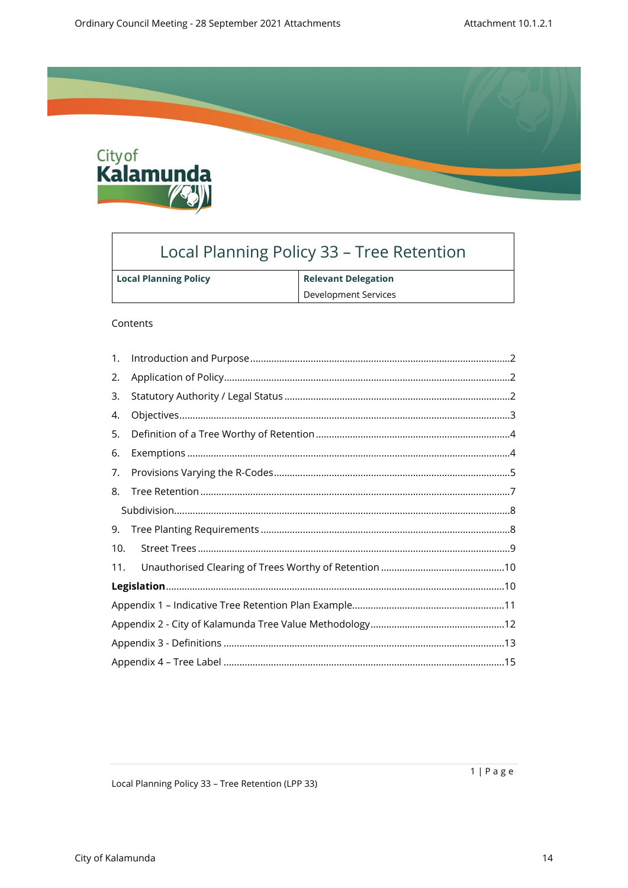

# Local Planning Policy 33 - Tree Retention

| <b>Local Planning Policy</b> | <b>Relevant Delegation</b> |
|------------------------------|----------------------------|
|                              | Development Services       |

#### Contents

| 1.  |  |
|-----|--|
| 2.  |  |
| 3.  |  |
| 4.  |  |
| 5.  |  |
| 6.  |  |
| 7.  |  |
| 8.  |  |
|     |  |
| 9.  |  |
| 10. |  |
| 11. |  |
|     |  |
|     |  |
|     |  |
|     |  |
|     |  |

Local Planning Policy 33 - Tree Retention (LPP 33)

 $1 | P \text{ a } g \text{ e}$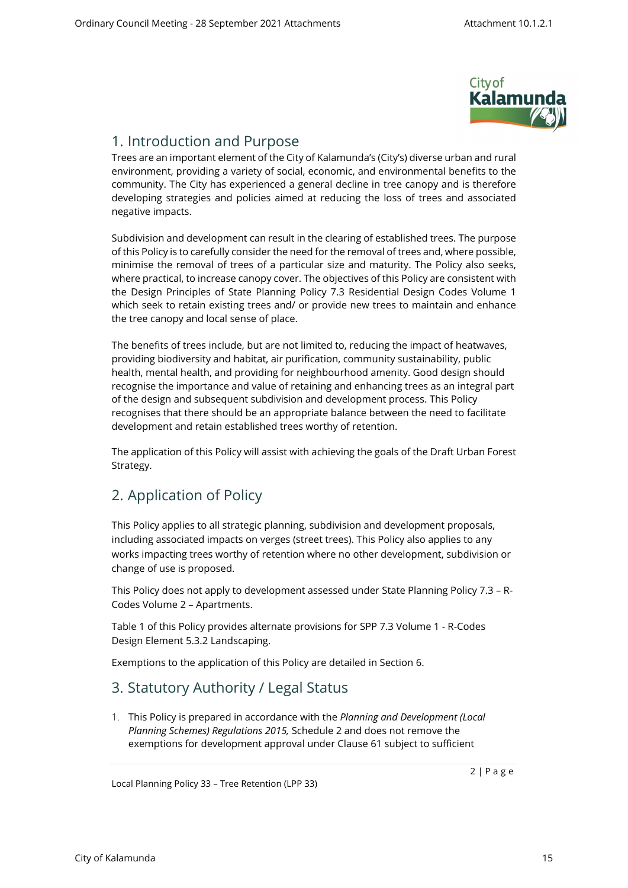

### <span id="page-1-0"></span>1. Introduction and Purpose

Trees are an important element of the City of Kalamunda's (City's) diverse urban and rural environment, providing a variety of social, economic, and environmental benefits to the community. The City has experienced a general decline in tree canopy and is therefore developing strategies and policies aimed at reducing the loss of trees and associated negative impacts.

Subdivision and development can result in the clearing of established trees. The purpose of this Policy is to carefully consider the need for the removal of trees and, where possible, minimise the removal of trees of a particular size and maturity. The Policy also seeks, where practical, to increase canopy cover. The objectives of this Policy are consistent with the Design Principles of State Planning Policy 7.3 Residential Design Codes Volume 1 which seek to retain existing trees and/ or provide new trees to maintain and enhance the tree canopy and local sense of place.

The benefits of trees include, but are not limited to, reducing the impact of heatwaves, providing biodiversity and habitat, air purification, community sustainability, public health, mental health, and providing for neighbourhood amenity. Good design should recognise the importance and value of retaining and enhancing trees as an integral part of the design and subsequent subdivision and development process. This Policy recognises that there should be an appropriate balance between the need to facilitate development and retain established trees worthy of retention.

The application of this Policy will assist with achieving the goals of the Draft Urban Forest Strategy.

## <span id="page-1-1"></span>2. Application of Policy

This Policy applies to all strategic planning, subdivision and development proposals, including associated impacts on verges (street trees). This Policy also applies to any works impacting trees worthy of retention where no other development, subdivision or change of use is proposed.

This Policy does not apply to development assessed under State Planning Policy 7.3 – R-Codes Volume 2 – Apartments.

Table 1 of this Policy provides alternate provisions for SPP 7.3 Volume 1 - R-Codes Design Element 5.3.2 Landscaping.

Exemptions to the application of this Policy are detailed in Section [6.](#page-3-1)

### 3. Statutory Authority / Legal Status

<span id="page-1-2"></span>1. This Policy is prepared in accordance with the *Planning and Development (Local Planning Schemes) Regulations 2015,* Schedule 2 and does not remove the exemptions for development approval under Clause 61 subject to sufficient

Local Planning Policy 33 – Tree Retention (LPP 33)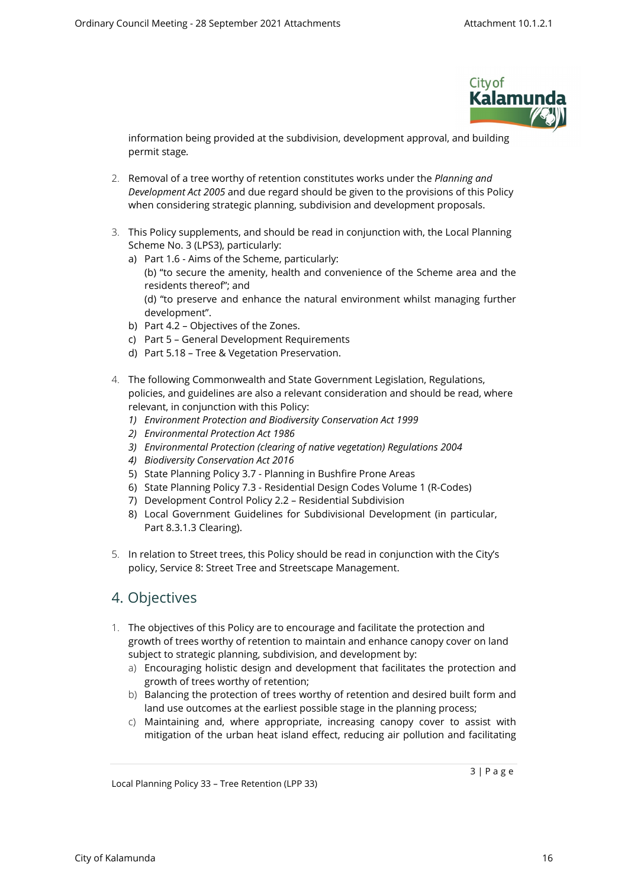

information being provided at the subdivision, development approval, and building permit stage*.* 

- 2. Removal of a tree worthy of retention constitutes works under the *Planning and Development Act 2005* and due regard should be given to the provisions of this Policy when considering strategic planning, subdivision and development proposals.
- 3. This Policy supplements, and should be read in conjunction with, the Local Planning Scheme No. 3 (LPS3), particularly:
	- a) Part 1.6 Aims of the Scheme, particularly: (b) "to secure the amenity, health and convenience of the Scheme area and the residents thereof"; and (d) "to preserve and enhance the natural environment whilst managing further development".
	- b) Part 4.2 Objectives of the Zones.
	- c) Part 5 General Development Requirements
	- d) Part 5.18 Tree & Vegetation Preservation.
- 4. The following Commonwealth and State Government Legislation, Regulations, policies, and guidelines are also a relevant consideration and should be read, where relevant, in conjunction with this Policy:
	- *1) Environment Protection and Biodiversity Conservation Act 1999*
	- *2) Environmental Protection Act 1986*
	- *3) Environmental Protection (clearing of native vegetation) Regulations 2004*
	- *4) Biodiversity Conservation Act 2016*
	- 5) State Planning Policy 3.7 Planning in Bushfire Prone Areas
	- 6) State Planning Policy 7.3 Residential Design Codes Volume 1 (R-Codes)
	- 7) Development Control Policy 2.2 Residential Subdivision
	- 8) Local Government Guidelines for Subdivisional Development (in particular, Part 8.3.1.3 Clearing).
- 5. In relation to Street trees, this Policy should be read in conjunction with the City's policy, Service 8: Street Tree and Streetscape Management.

### 4. Objectives

- <span id="page-2-0"></span>1. The objectives of this Policy are to encourage and facilitate the protection and growth of trees worthy of retention to maintain and enhance canopy cover on land subject to strategic planning, subdivision, and development by:
	- a) Encouraging holistic design and development that facilitates the protection and growth of trees worthy of retention;
	- b) Balancing the protection of trees worthy of retention and desired built form and land use outcomes at the earliest possible stage in the planning process;
	- c) Maintaining and, where appropriate, increasing canopy cover to assist with mitigation of the urban heat island effect, reducing air pollution and facilitating

Local Planning Policy 33 – Tree Retention (LPP 33)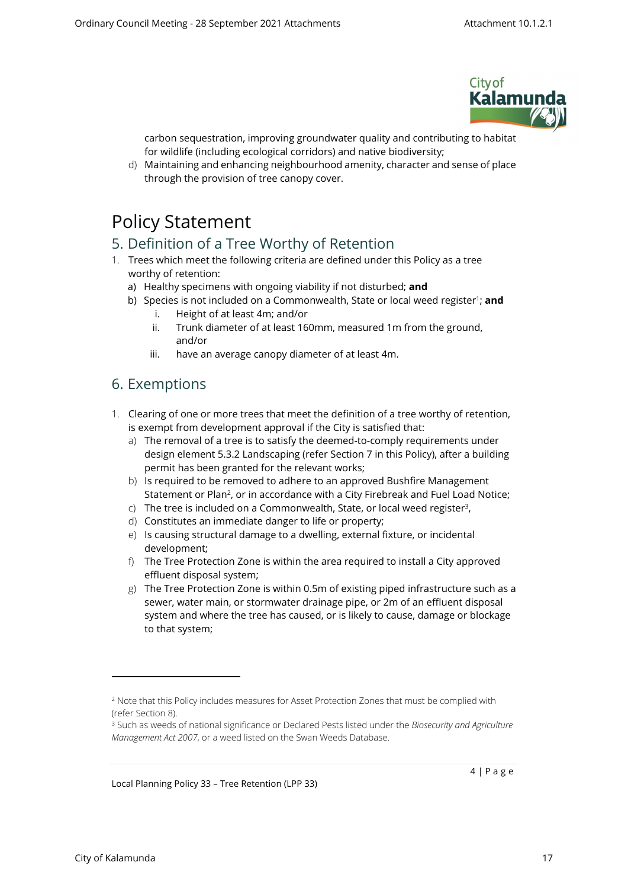

carbon sequestration, improving groundwater quality and contributing to habitat for wildlife (including ecological corridors) and native biodiversity;

d) Maintaining and enhancing neighbourhood amenity, character and sense of place through the provision of tree canopy cover.

# <span id="page-3-0"></span>Policy Statement

### 5. Definition of a Tree Worthy of Retention

- 1. Trees which meet the following criteria are defined under this Policy as a tree worthy of retention:
	- a) Healthy specimens with ongoing viability if not disturbed; **and**
	- b) Species is not included on a Commonwealth, State or local weed register<sup>1</sup>; **and** 
		- i. Height of at least 4m; and/or
		- ii. Trunk diameter of at least 160mm, measured 1m from the ground, and/or
		- iii. have an average canopy diameter of at least 4m.

### <span id="page-3-1"></span>6. Exemptions

- 1. Clearing of one or more trees that meet the definition of a tree worthy of retention, is exempt from development approval if the City is satisfied that:
	- a) The removal of a tree is to satisfy the deemed-to-comply requirements under design element 5.3.2 Landscaping (refer Section [7](#page-4-0) in this Policy), after a building permit has been granted for the relevant works;
	- b) Is required to be removed to adhere to an approved Bushfire Management Statement or Plan<sup>2</sup>, or in accordance with a City Firebreak and Fuel Load Notice;
	- $\epsilon$ ) The tree is included on a Commonwealth, State, or local weed register<sup>3</sup>,
	- d) Constitutes an immediate danger to life or property;
	- e) Is causing structural damage to a dwelling, external fixture, or incidental development;
	- f) The Tree Protection Zone is within the area required to install a City approved effluent disposal system;
	- g) The Tree Protection Zone is within 0.5m of existing piped infrastructure such as a sewer, water main, or stormwater drainage pipe, or 2m of an effluent disposal system and where the tree has caused, or is likely to cause, damage or blockage to that system;

Local Planning Policy 33 – Tree Retention (LPP 33)

<sup>&</sup>lt;sup>2</sup> Note that this Policy includes measures for Asset Protection Zones that must be complied with (refer Section [8](#page-6-0)).

<sup>3</sup> Such as weeds of national significance or Declared Pests listed under the *Biosecurity and Agriculture Management Act 2007*, or a weed listed on the Swan Weeds Database.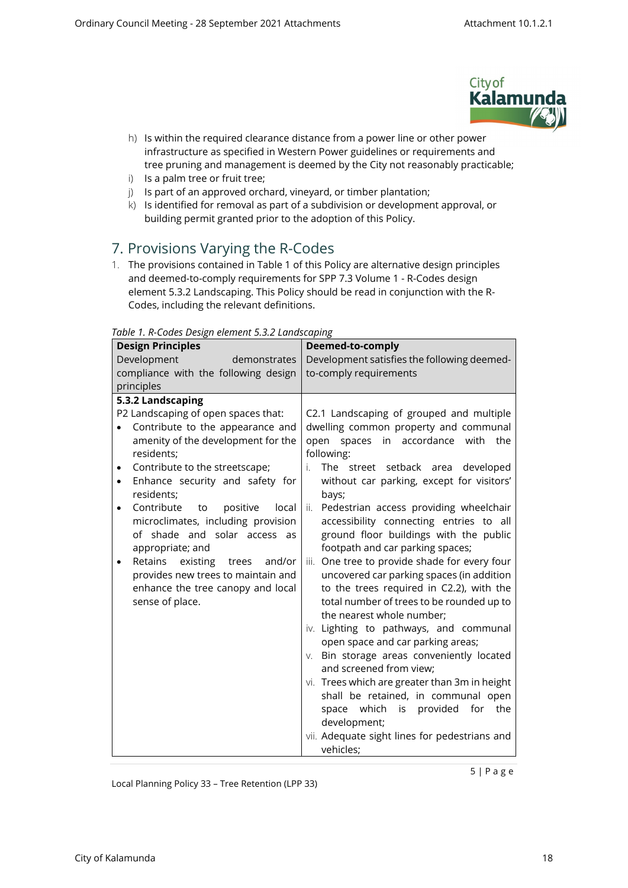

- h) Is within the required clearance distance from a power line or other power infrastructure as specified in Western Power guidelines or requirements and tree pruning and management is deemed by the City not reasonably practicable;
- i) Is a palm tree or fruit tree;
- j) Is part of an approved orchard, vineyard, or timber plantation;
- <span id="page-4-0"></span>k) Is identified for removal as part of a subdivision or development approval, or building permit granted prior to the adoption of this Policy.

### 7. Provisions Varying the R-Codes

1. The provisions contained in Table 1 of this Policy are alternative design principles and deemed-to-comply requirements for SPP 7.3 Volume 1 - R-Codes design element 5.3.2 Landscaping. This Policy should be read in conjunction with the R-Codes, including the relevant definitions.

| abic <i>i.i</i> coucs besign cientent s.s.z Lanascaping<br><b>Design Principles</b>                                                                                                                                                                                                                                                                                                                                                                                                                                                                                | Deemed-to-comply                                                                                                                                                                                                                                                                                                                                                                                                                                                                                                                                                                                                                                                                                                                                                                                                                                                                                                                                      |  |
|--------------------------------------------------------------------------------------------------------------------------------------------------------------------------------------------------------------------------------------------------------------------------------------------------------------------------------------------------------------------------------------------------------------------------------------------------------------------------------------------------------------------------------------------------------------------|-------------------------------------------------------------------------------------------------------------------------------------------------------------------------------------------------------------------------------------------------------------------------------------------------------------------------------------------------------------------------------------------------------------------------------------------------------------------------------------------------------------------------------------------------------------------------------------------------------------------------------------------------------------------------------------------------------------------------------------------------------------------------------------------------------------------------------------------------------------------------------------------------------------------------------------------------------|--|
| Development<br>demonstrates                                                                                                                                                                                                                                                                                                                                                                                                                                                                                                                                        | Development satisfies the following deemed-                                                                                                                                                                                                                                                                                                                                                                                                                                                                                                                                                                                                                                                                                                                                                                                                                                                                                                           |  |
| compliance with the following design                                                                                                                                                                                                                                                                                                                                                                                                                                                                                                                               | to-comply requirements                                                                                                                                                                                                                                                                                                                                                                                                                                                                                                                                                                                                                                                                                                                                                                                                                                                                                                                                |  |
| principles                                                                                                                                                                                                                                                                                                                                                                                                                                                                                                                                                         |                                                                                                                                                                                                                                                                                                                                                                                                                                                                                                                                                                                                                                                                                                                                                                                                                                                                                                                                                       |  |
| 5.3.2 Landscaping<br>P2 Landscaping of open spaces that:<br>Contribute to the appearance and<br>$\bullet$<br>amenity of the development for the<br>residents;<br>Contribute to the streetscape;<br>$\bullet$<br>Enhance security and safety for<br>$\bullet$<br>residents;<br>Contribute<br>positive<br>to<br>local<br>$\bullet$<br>microclimates, including provision<br>of shade and solar access as<br>appropriate; and<br>Retains<br>existing<br>and/or<br>trees<br>provides new trees to maintain and<br>enhance the tree canopy and local<br>sense of place. | C2.1 Landscaping of grouped and multiple<br>dwelling common property and communal<br>open spaces in accordance with the<br>following:<br>The street setback area<br>developed<br>i.<br>without car parking, except for visitors'<br>bays;<br>Pedestrian access providing wheelchair<br>ii.<br>accessibility connecting entries to all<br>ground floor buildings with the public<br>footpath and car parking spaces;<br>One tree to provide shade for every four<br>iii.<br>uncovered car parking spaces (in addition<br>to the trees required in C2.2), with the<br>total number of trees to be rounded up to<br>the nearest whole number;<br>iv. Lighting to pathways, and communal<br>open space and car parking areas;<br>Bin storage areas conveniently located<br>V.<br>and screened from view;<br>vi. Trees which are greater than 3m in height<br>shall be retained, in communal open<br>space which is provided<br>for<br>the<br>development; |  |
|                                                                                                                                                                                                                                                                                                                                                                                                                                                                                                                                                                    | vii. Adequate sight lines for pedestrians and<br>vehicles;                                                                                                                                                                                                                                                                                                                                                                                                                                                                                                                                                                                                                                                                                                                                                                                                                                                                                            |  |

*Table 1. R-Codes Design element 5.3.2 Landscaping*

Local Planning Policy 33 – Tree Retention (LPP 33)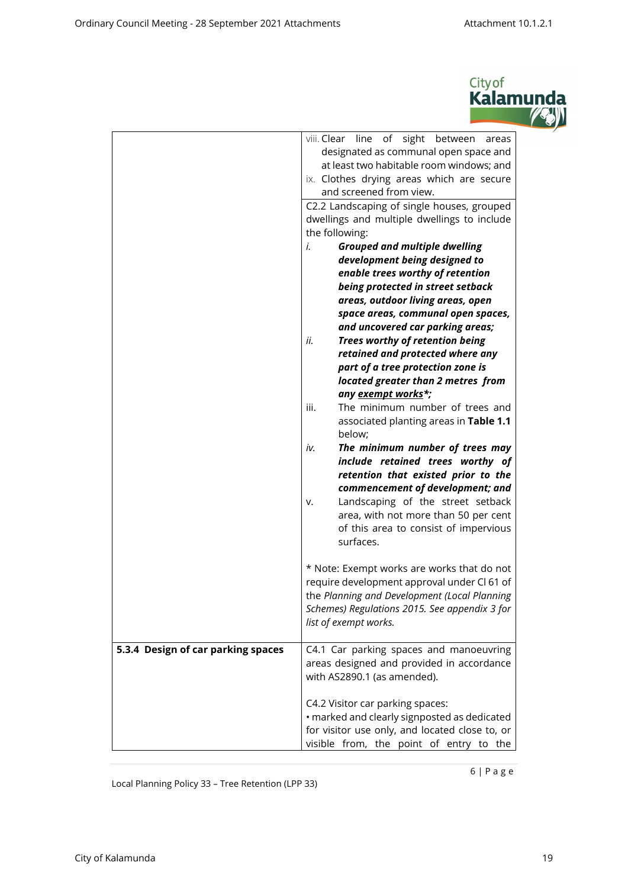

|                                    | viii. Clear line of sight between<br>areas<br>designated as communal open space and<br>at least two habitable room windows; and<br>ix. Clothes drying areas which are secure<br>and screened from view.<br>C2.2 Landscaping of single houses, grouped<br>dwellings and multiple dwellings to include<br>the following:<br><b>Grouped and multiple dwelling</b><br>i.<br>development being designed to<br>enable trees worthy of retention<br>being protected in street setback<br>areas, outdoor living areas, open<br>space areas, communal open spaces,<br>and uncovered car parking areas;<br>ii.<br>Trees worthy of retention being<br>retained and protected where any<br>part of a tree protection zone is<br>located greater than 2 metres from<br>any exempt works*;<br>iii.<br>The minimum number of trees and<br>associated planting areas in Table 1.1<br>below;<br>iv.<br>The minimum number of trees may<br>include retained trees worthy of<br>retention that existed prior to the<br>commencement of development; and<br>Landscaping of the street setback<br>v.<br>area, with not more than 50 per cent<br>of this area to consist of impervious<br>surfaces.<br>* Note: Exempt works are works that do not<br>require development approval under Cl 61 of<br>the Planning and Development (Local Planning<br>Schemes) Regulations 2015. See appendix 3 for<br>list of exempt works. |
|------------------------------------|------------------------------------------------------------------------------------------------------------------------------------------------------------------------------------------------------------------------------------------------------------------------------------------------------------------------------------------------------------------------------------------------------------------------------------------------------------------------------------------------------------------------------------------------------------------------------------------------------------------------------------------------------------------------------------------------------------------------------------------------------------------------------------------------------------------------------------------------------------------------------------------------------------------------------------------------------------------------------------------------------------------------------------------------------------------------------------------------------------------------------------------------------------------------------------------------------------------------------------------------------------------------------------------------------------------------------------------------------------------------------------------------------|
| 5.3.4 Design of car parking spaces | C4.1 Car parking spaces and manoeuvring<br>areas designed and provided in accordance<br>with AS2890.1 (as amended).                                                                                                                                                                                                                                                                                                                                                                                                                                                                                                                                                                                                                                                                                                                                                                                                                                                                                                                                                                                                                                                                                                                                                                                                                                                                                  |
|                                    | C4.2 Visitor car parking spaces:<br>· marked and clearly signposted as dedicated<br>for visitor use only, and located close to, or<br>visible from, the point of entry to the                                                                                                                                                                                                                                                                                                                                                                                                                                                                                                                                                                                                                                                                                                                                                                                                                                                                                                                                                                                                                                                                                                                                                                                                                        |

Local Planning Policy 33 – Tree Retention (LPP 33)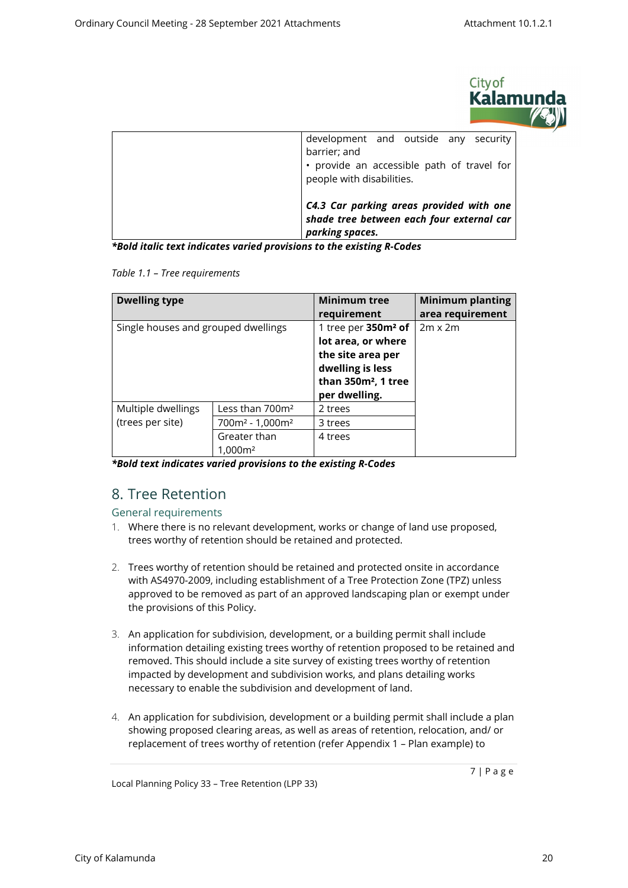

| development and outside any security<br>barrier; and<br>• provide an accessible path of travel for<br>people with disabilities. |
|---------------------------------------------------------------------------------------------------------------------------------|
| C4.3 Car parking areas provided with one<br>shade tree between each four external car<br>parking spaces.                        |

*\*Bold italic text indicates varied provisions to the existing R-Codes*

*Table 1.1 – Tree requirements*

| <b>Dwelling type</b>                |                             | <b>Minimum tree</b>             | <b>Minimum planting</b> |
|-------------------------------------|-----------------------------|---------------------------------|-------------------------|
|                                     |                             |                                 | area requirement        |
| Single houses and grouped dwellings |                             | 1 tree per 350m <sup>2</sup> of | $2m \times 2m$          |
|                                     |                             | lot area, or where              |                         |
|                                     |                             | the site area per               |                         |
|                                     |                             | dwelling is less                |                         |
|                                     |                             | than 350m <sup>2</sup> , 1 tree |                         |
|                                     |                             | per dwelling.                   |                         |
| Multiple dwellings                  | Less than 700m <sup>2</sup> | 2 trees                         |                         |
| (trees per site)                    | $700m^2 - 1,000m^2$         | 3 trees                         |                         |
|                                     | Greater than                | 4 trees                         |                         |
|                                     | 1.000m <sup>2</sup>         |                                 |                         |

*\*Bold text indicates varied provisions to the existing R-Codes*

### <span id="page-6-0"></span>8. Tree Retention

General requirements

- 1. Where there is no relevant development, works or change of land use proposed, trees worthy of retention should be retained and protected.
- 2. Trees worthy of retention should be retained and protected onsite in accordance with AS4970-2009, including establishment of a Tree Protection Zone (TPZ) unless approved to be removed as part of an approved landscaping plan or exempt under the provisions of this Policy.
- 3. An application for subdivision, development, or a building permit shall include information detailing existing trees worthy of retention proposed to be retained and removed. This should include a site survey of existing trees worthy of retention impacted by development and subdivision works, and plans detailing works necessary to enable the subdivision and development of land.
- 4. An application for subdivision, development or a building permit shall include a plan showing proposed clearing areas, as well as areas of retention, relocation, and/ or replacement of trees worthy of retention (refer Appendix 1 – Plan example) to

Local Planning Policy 33 – Tree Retention (LPP 33)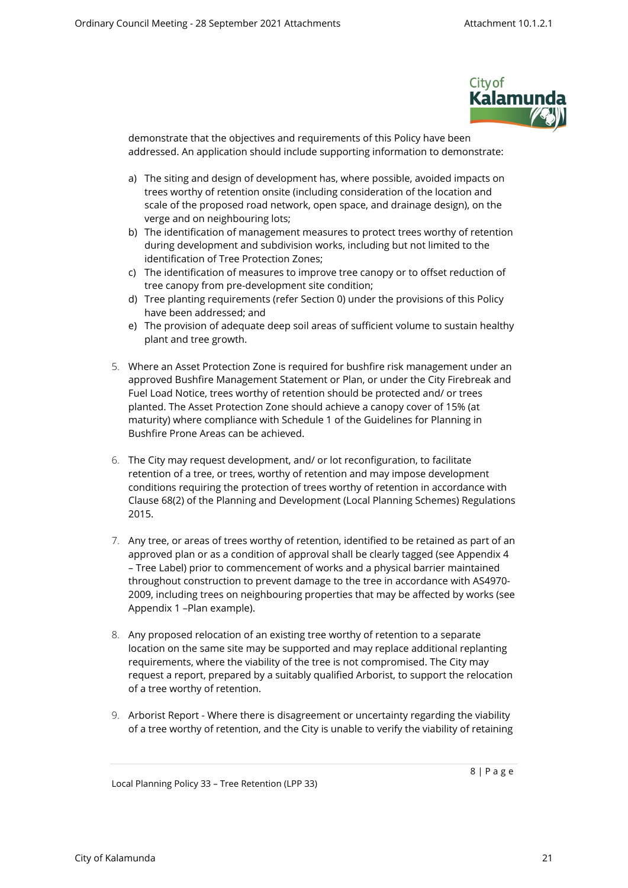

demonstrate that the objectives and requirements of this Policy have been addressed. An application should include supporting information to demonstrate:

- a) The siting and design of development has, where possible, avoided impacts on trees worthy of retention onsite (including consideration of the location and scale of the proposed road network, open space, and drainage design), on the verge and on neighbouring lots;
- b) The identification of management measures to protect trees worthy of retention during development and subdivision works, including but not limited to the identification of Tree Protection Zones;
- c) The identification of measures to improve tree canopy or to offset reduction of tree canopy from pre-development site condition;
- d) Tree planting requirements (refer Section [0\)](#page-8-0) under the provisions of this Policy have been addressed; and
- e) The provision of adequate deep soil areas of sufficient volume to sustain healthy plant and tree growth.
- 5. Where an Asset Protection Zone is required for bushfire risk management under an approved Bushfire Management Statement or Plan, or under the City Firebreak and Fuel Load Notice, trees worthy of retention should be protected and/ or trees planted. The Asset Protection Zone should achieve a canopy cover of 15% (at maturity) where compliance with Schedule 1 of the Guidelines for Planning in Bushfire Prone Areas can be achieved.
- 6. The City may request development, and/ or lot reconfiguration, to facilitate retention of a tree, or trees, worthy of retention and may impose development conditions requiring the protection of trees worthy of retention in accordance with Clause 68(2) of the Planning and Development (Local Planning Schemes) Regulations 2015.
- 7. Any tree, or areas of trees worthy of retention, identified to be retained as part of an approved plan or as a condition of approval shall be clearly tagged (see Appendix 4 – Tree Label) prior to commencement of works and a physical barrier maintained throughout construction to prevent damage to the tree in accordance with AS4970- 2009, including trees on neighbouring properties that may be affected by works (see Appendix 1 –Plan example).
- 8. Any proposed relocation of an existing tree worthy of retention to a separate location on the same site may be supported and may replace additional replanting requirements, where the viability of the tree is not compromised. The City may request a report, prepared by a suitably qualified Arborist, to support the relocation of a tree worthy of retention.
- 9. Arborist Report Where there is disagreement or uncertainty regarding the viability of a tree worthy of retention, and the City is unable to verify the viability of retaining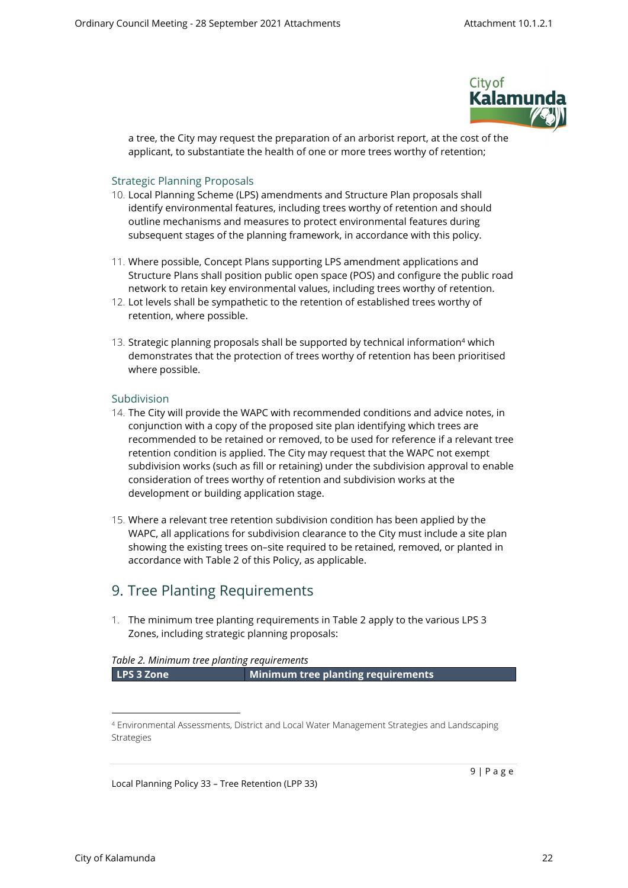

a tree, the City may request the preparation of an arborist report, at the cost of the applicant, to substantiate the health of one or more trees worthy of retention;

#### Strategic Planning Proposals

- 10. Local Planning Scheme (LPS) amendments and Structure Plan proposals shall identify environmental features, including trees worthy of retention and should outline mechanisms and measures to protect environmental features during subsequent stages of the planning framework, in accordance with this policy.
- 11. Where possible, Concept Plans supporting LPS amendment applications and Structure Plans shall position public open space (POS) and configure the public road network to retain key environmental values, including trees worthy of retention.
- 12. Lot levels shall be sympathetic to the retention of established trees worthy of retention, where possible.
- 13. Strategic planning proposals shall be supported by technical information<sup>4</sup> which demonstrates that the protection of trees worthy of retention has been prioritised where possible.

#### <span id="page-8-0"></span>Subdivision

- 14. The City will provide the WAPC with recommended conditions and advice notes, in conjunction with a copy of the proposed site plan identifying which trees are recommended to be retained or removed, to be used for reference if a relevant tree retention condition is applied. The City may request that the WAPC not exempt subdivision works (such as fill or retaining) under the subdivision approval to enable consideration of trees worthy of retention and subdivision works at the development or building application stage.
- 15. Where a relevant tree retention subdivision condition has been applied by the WAPC, all applications for subdivision clearance to the City must include a site plan showing the existing trees on–site required to be retained, removed, or planted in accordance with Table 2 of this Policy, as applicable.

### 9. Tree Planting Requirements

<span id="page-8-1"></span>1. The minimum tree planting requirements in Table 2 apply to the various LPS 3 Zones, including strategic planning proposals:

#### *Table 2. Minimum tree planting requirements*

**LPS 3 Zone Minimum tree planting requirements**

Local Planning Policy 33 – Tree Retention (LPP 33)

<sup>4</sup> Environmental Assessments, District and Local Water Management Strategies and Landscaping Strategies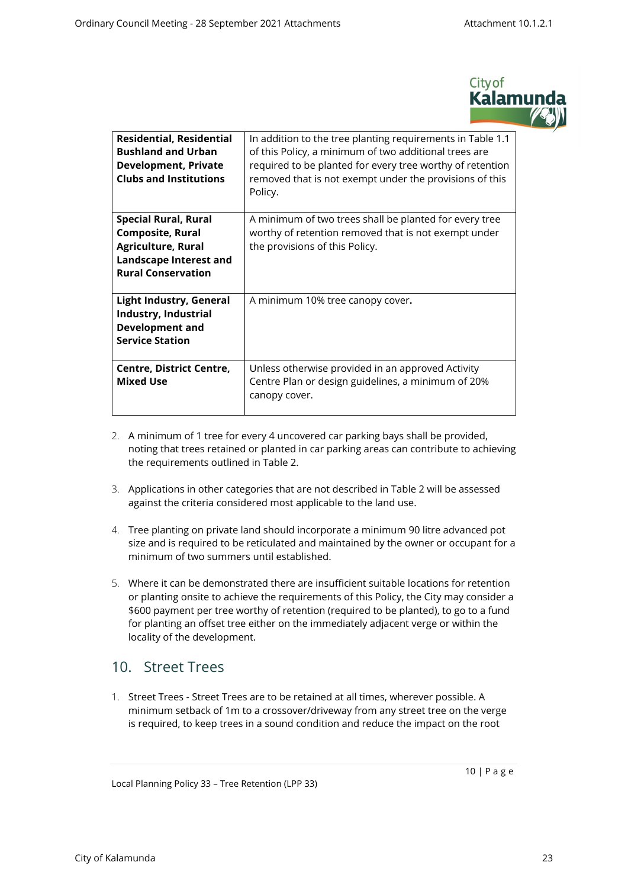

| <b>Residential, Residential</b><br><b>Bushland and Urban</b><br><b>Development, Private</b><br><b>Clubs and Institutions</b>                      | In addition to the tree planting requirements in Table 1.1<br>of this Policy, a minimum of two additional trees are<br>required to be planted for every tree worthy of retention<br>removed that is not exempt under the provisions of this<br>Policy. |
|---------------------------------------------------------------------------------------------------------------------------------------------------|--------------------------------------------------------------------------------------------------------------------------------------------------------------------------------------------------------------------------------------------------------|
| <b>Special Rural, Rural</b><br><b>Composite, Rural</b><br><b>Agriculture, Rural</b><br><b>Landscape Interest and</b><br><b>Rural Conservation</b> | A minimum of two trees shall be planted for every tree<br>worthy of retention removed that is not exempt under<br>the provisions of this Policy.                                                                                                       |
| <b>Light Industry, General</b><br>Industry, Industrial<br><b>Development and</b><br><b>Service Station</b>                                        | A minimum 10% tree canopy cover.                                                                                                                                                                                                                       |
| <b>Centre, District Centre,</b><br><b>Mixed Use</b>                                                                                               | Unless otherwise provided in an approved Activity<br>Centre Plan or design guidelines, a minimum of 20%<br>canopy cover.                                                                                                                               |

- 2. A minimum of 1 tree for every 4 uncovered car parking bays shall be provided, noting that trees retained or planted in car parking areas can contribute to achieving the requirements outlined in Table 2.
- 3. Applications in other categories that are not described in Table 2 will be assessed against the criteria considered most applicable to the land use.
- 4. Tree planting on private land should incorporate a minimum 90 litre advanced pot size and is required to be reticulated and maintained by the owner or occupant for a minimum of two summers until established.
- 5. Where it can be demonstrated there are insufficient suitable locations for retention or planting onsite to achieve the requirements of this Policy, the City may consider a \$600 payment per tree worthy of retention (required to be planted), to go to a fund for planting an offset tree either on the immediately adjacent verge or within the locality of the development.

### 10. Street Trees

<span id="page-9-0"></span>1. Street Trees - Street Trees are to be retained at all times, wherever possible. A minimum setback of 1m to a crossover/driveway from any street tree on the verge is required, to keep trees in a sound condition and reduce the impact on the root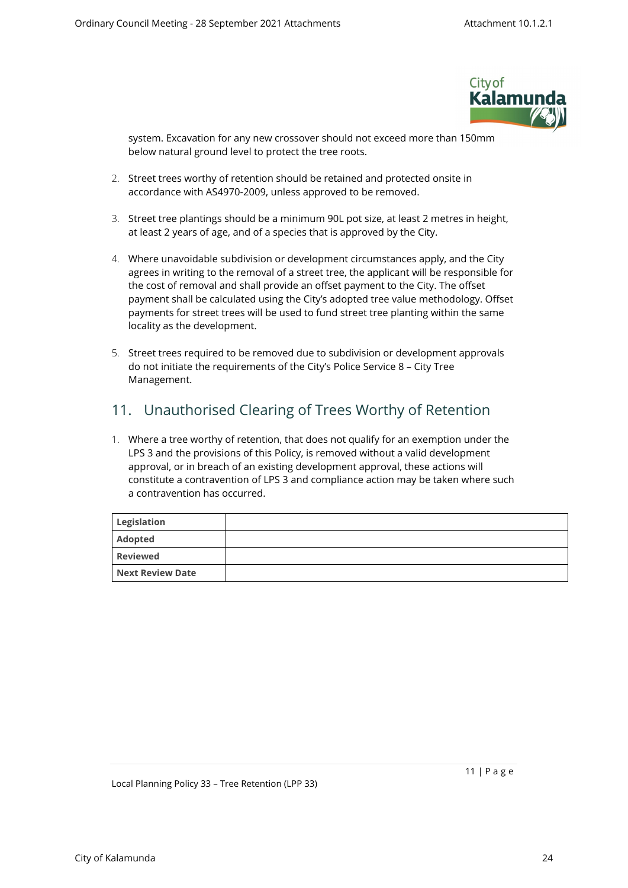

system. Excavation for any new crossover should not exceed more than 150mm below natural ground level to protect the tree roots.

- 2. Street trees worthy of retention should be retained and protected onsite in accordance with AS4970-2009, unless approved to be removed.
- 3. Street tree plantings should be a minimum 90L pot size, at least 2 metres in height, at least 2 years of age, and of a species that is approved by the City.
- 4. Where unavoidable subdivision or development circumstances apply, and the City agrees in writing to the removal of a street tree, the applicant will be responsible for the cost of removal and shall provide an offset payment to the City. The offset payment shall be calculated using the City's adopted tree value methodology. Offset payments for street trees will be used to fund street tree planting within the same locality as the development.
- 5. Street trees required to be removed due to subdivision or development approvals do not initiate the requirements of the City's Police Service 8 – City Tree Management.

### <span id="page-10-0"></span>11. Unauthorised Clearing of Trees Worthy of Retention

1. Where a tree worthy of retention, that does not qualify for an exemption under the LPS 3 and the provisions of this Policy, is removed without a valid development approval, or in breach of an existing development approval, these actions will constitute a contravention of LPS 3 and compliance action may be taken where such a contravention has occurred.

<span id="page-10-1"></span>

| Legislation      |  |
|------------------|--|
| Adopted          |  |
| <b>Reviewed</b>  |  |
| Next Review Date |  |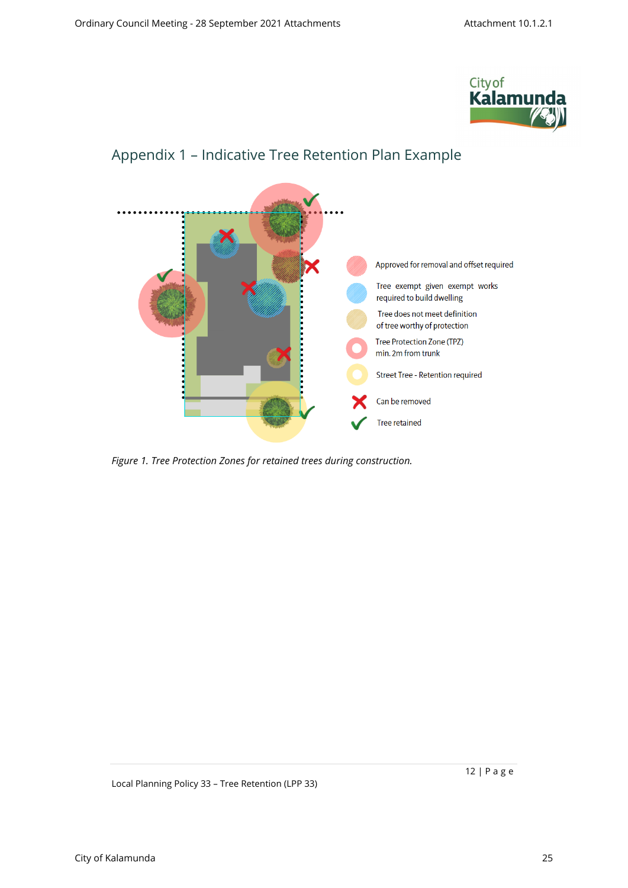



# <span id="page-11-0"></span>Appendix 1 – Indicative Tree Retention Plan Example

*Figure 1. Tree Protection Zones for retained trees during construction.*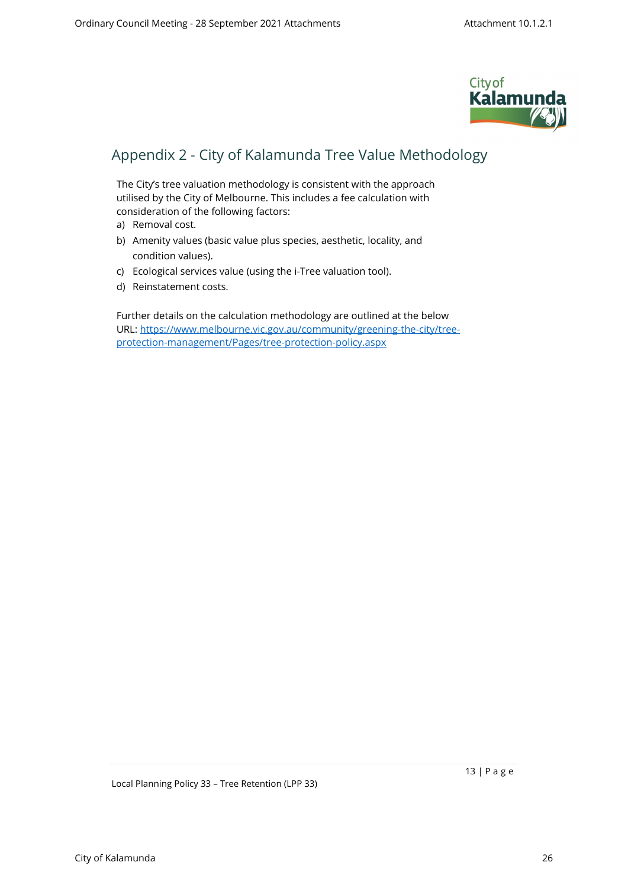

## <span id="page-12-0"></span>Appendix 2 - City of Kalamunda Tree Value Methodology

The City's tree valuation methodology is consistent with the approach utilised by the City of Melbourne. This includes a fee calculation with consideration of the following factors:

- a) Removal cost.
- b) Amenity values (basic value plus species, aesthetic, locality, and condition values).
- c) Ecological services value (using the i-Tree valuation tool).
- d) Reinstatement costs.

Further details on the calculation methodology are outlined at the below URL: [https://www.melbourne.vic.gov.au/community/greening-the-city/tree](https://www.melbourne.vic.gov.au/community/greening-the-city/tree-protection-management/Pages/tree-protection-policy.aspx)[protection-management/Pages/tree-protection-policy.aspx](https://www.melbourne.vic.gov.au/community/greening-the-city/tree-protection-management/Pages/tree-protection-policy.aspx)

Local Planning Policy 33 – Tree Retention (LPP 33)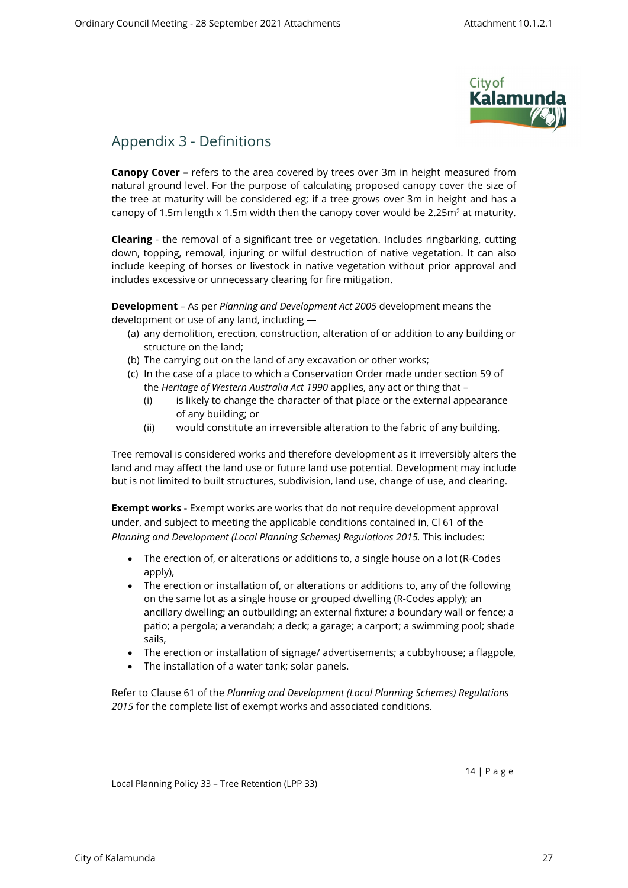

### <span id="page-13-0"></span>Appendix 3 - Definitions

**Canopy Cover –** refers to the area covered by trees over 3m in height measured from natural ground level. For the purpose of calculating proposed canopy cover the size of the tree at maturity will be considered eg; if a tree grows over 3m in height and has a canopy of 1.5m length x 1.5m width then the canopy cover would be 2.25m $^2$  at maturity.

**Clearing** - the removal of a significant tree or vegetation. Includes ringbarking, cutting down, topping, removal, injuring or wilful destruction of native vegetation. It can also include keeping of horses or livestock in native vegetation without prior approval and includes excessive or unnecessary clearing for fire mitigation.

**Development** – As per *Planning and Development Act 2005* development means the development or use of any land, including —

- (a) any demolition, erection, construction, alteration of or addition to any building or structure on the land;
- (b) The carrying out on the land of any excavation or other works;
- (c) In the case of a place to which a Conservation Order made under section 59 of the *Heritage of Western Australia Act 1990* applies, any act or thing that –
	- (i) is likely to change the character of that place or the external appearance of any building; or
	- (ii) would constitute an irreversible alteration to the fabric of any building.

Tree removal is considered works and therefore development as it irreversibly alters the land and may affect the land use or future land use potential. Development may include but is not limited to built structures, subdivision, land use, change of use, and clearing.

**Exempt works -** Exempt works are works that do not require development approval under, and subject to meeting the applicable conditions contained in, Cl 61 of the *Planning and Development (Local Planning Schemes) Regulations 2015.* This includes:

- The erection of, or alterations or additions to, a single house on a lot (R-Codes apply),
- The erection or installation of, or alterations or additions to, any of the following on the same lot as a single house or grouped dwelling (R-Codes apply); an ancillary dwelling; an outbuilding; an external fixture; a boundary wall or fence; a patio; a pergola; a verandah; a deck; a garage; a carport; a swimming pool; shade sails,
- The erection or installation of signage/ advertisements; a cubbyhouse; a flagpole,
- The installation of a water tank; solar panels.

Refer to Clause 61 of the *Planning and Development (Local Planning Schemes) Regulations 2015* for the complete list of exempt works and associated conditions.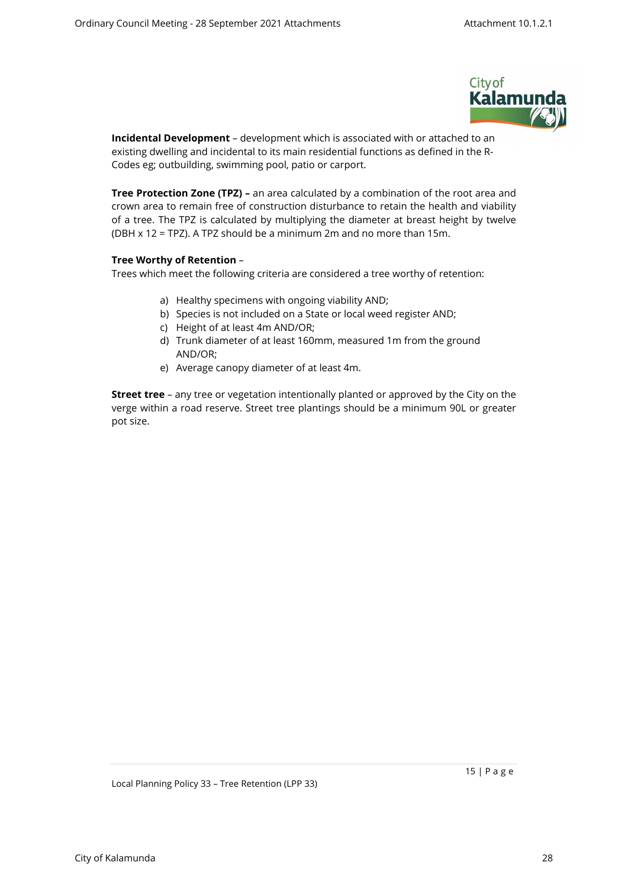

**Incidental Development** – development which is associated with or attached to an existing dwelling and incidental to its main residential functions as defined in the R-Codes eg; outbuilding, swimming pool, patio or carport.

**Tree Protection Zone (TPZ) –** an area calculated by a combination of the root area and crown area to remain free of construction disturbance to retain the health and viability of a tree. The TPZ is calculated by multiplying the diameter at breast height by twelve (DBH x 12 = TPZ). A TPZ should be a minimum 2m and no more than 15m.

#### **Tree Worthy of Retention** –

Trees which meet the following criteria are considered a tree worthy of retention:

- a) Healthy specimens with ongoing viability AND;
- b) Species is not included on a State or local weed register AND;
- c) Height of at least 4m AND/OR;
- d) Trunk diameter of at least 160mm, measured 1m from the ground AND/OR;
- e) Average canopy diameter of at least 4m.

**Street tree** – any tree or vegetation intentionally planted or approved by the City on the verge within a road reserve. Street tree plantings should be a minimum 90L or greater pot size.